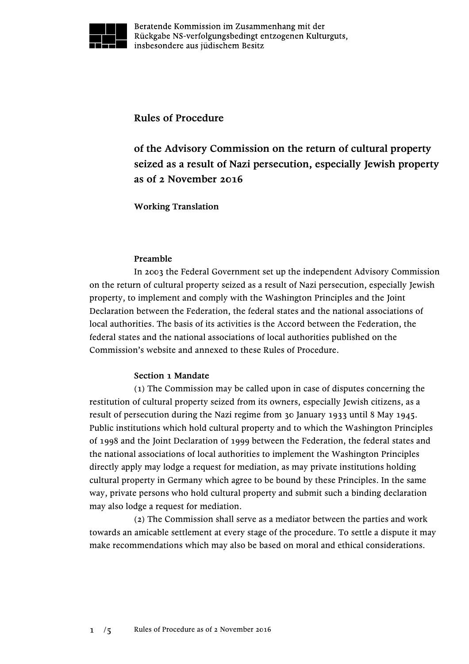

Beratende Kommission im Zusammenhang mit der Rückgabe NS-verfolgungsbedingt entzogenen Kulturguts, insbesondere aus jüdischem Besitz

**Rules of Procedure**

**of the Advisory Commission on the return of cultural property seized as a result of Nazi persecution, especially Jewish property as of 2 November 2016**

**Working Translation**

## **Preamble**

In 2003 the Federal Government set up the independent Advisory Commission on the return of cultural property seized as a result of Nazi persecution, especially Jewish property, to implement and comply with the Washington Principles and the Joint Declaration between the Federation, the federal states and the national associations of local authorities. The basis of its activities is the Accord between the Federation, the federal states and the national associations of local authorities published on the Commission's website and annexed to these Rules of Procedure.

### **Section 1 Mandate**

(1) The Commission may be called upon in case of disputes concerning the restitution of cultural property seized from its owners, especially Jewish citizens, as a result of persecution during the Nazi regime from 30 January 1933 until 8 May 1945. Public institutions which hold cultural property and to which the Washington Principles of 1998 and the Joint Declaration of 1999 between the Federation, the federal states and the national associations of local authorities to implement the Washington Principles directly apply may lodge a request for mediation, as may private institutions holding cultural property in Germany which agree to be bound by these Principles. In the same way, private persons who hold cultural property and submit such a binding declaration may also lodge a request for mediation.

(2) The Commission shall serve as a mediator between the parties and work towards an amicable settlement at every stage of the procedure. To settle a dispute it may make recommendations which may also be based on moral and ethical considerations.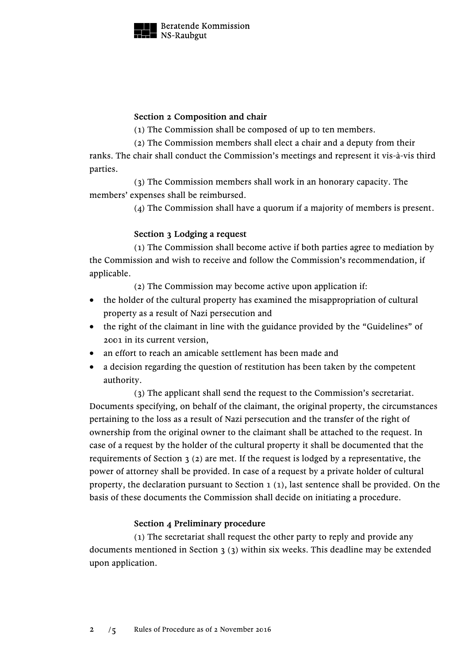

### **Section 2 Composition and chair**

(1) The Commission shall be composed of up to ten members.

(2) The Commission members shall elect a chair and a deputy from their

ranks. The chair shall conduct the Commission's meetings and represent it vis-à-vis third parties.

(3) The Commission members shall work in an honorary capacity. The members' expenses shall be reimbursed.

(4) The Commission shall have a quorum if a majority of members is present.

# **Section 3 Lodging a request**

(1) The Commission shall become active if both parties agree to mediation by the Commission and wish to receive and follow the Commission's recommendation, if applicable.

(2) The Commission may become active upon application if:

- the holder of the cultural property has examined the misappropriation of cultural property as a result of Nazi persecution and
- the right of the claimant in line with the guidance provided by the "Guidelines" of 2001 in its current version,
- an effort to reach an amicable settlement has been made and
- a decision regarding the question of restitution has been taken by the competent authority.

(3) The applicant shall send the request to the Commission's secretariat. Documents specifying, on behalf of the claimant, the original property, the circumstances pertaining to the loss as a result of Nazi persecution and the transfer of the right of ownership from the original owner to the claimant shall be attached to the request. In case of a request by the holder of the cultural property it shall be documented that the requirements of Section 3 (2) are met. If the request is lodged by a representative, the power of attorney shall be provided. In case of a request by a private holder of cultural property, the declaration pursuant to Section 1 (1), last sentence shall be provided. On the basis of these documents the Commission shall decide on initiating a procedure.

### **Section 4 Preliminary procedure**

(1) The secretariat shall request the other party to reply and provide any documents mentioned in Section 3 (3) within six weeks. This deadline may be extended upon application.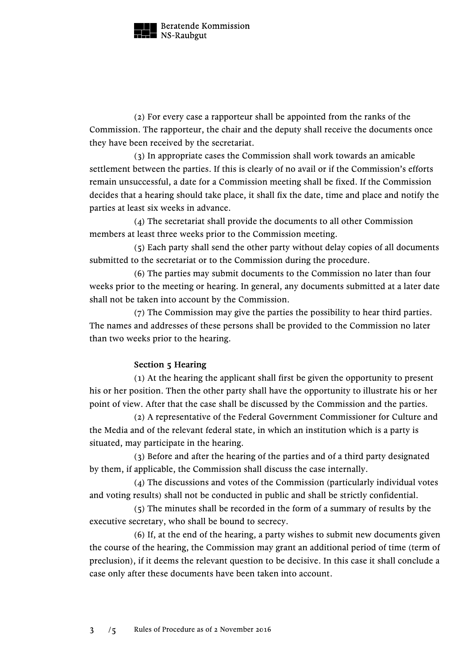

Beratende Kommission NS-Raubgut

(2) For every case a rapporteur shall be appointed from the ranks of the Commission. The rapporteur, the chair and the deputy shall receive the documents once they have been received by the secretariat.

(3) In appropriate cases the Commission shall work towards an amicable settlement between the parties. If this is clearly of no avail or if the Commission's efforts remain unsuccessful, a date for a Commission meeting shall be fixed. If the Commission decides that a hearing should take place, it shall fix the date, time and place and notify the parties at least six weeks in advance.

(4) The secretariat shall provide the documents to all other Commission members at least three weeks prior to the Commission meeting.

(5) Each party shall send the other party without delay copies of all documents submitted to the secretariat or to the Commission during the procedure.

(6) The parties may submit documents to the Commission no later than four weeks prior to the meeting or hearing. In general, any documents submitted at a later date shall not be taken into account by the Commission.

(7) The Commission may give the parties the possibility to hear third parties. The names and addresses of these persons shall be provided to the Commission no later than two weeks prior to the hearing.

# **Section 5 Hearing**

(1) At the hearing the applicant shall first be given the opportunity to present his or her position. Then the other party shall have the opportunity to illustrate his or her point of view. After that the case shall be discussed by the Commission and the parties.

(2) A representative of the Federal Government Commissioner for Culture and the Media and of the relevant federal state, in which an institution which is a party is situated, may participate in the hearing.

(3) Before and after the hearing of the parties and of a third party designated by them, if applicable, the Commission shall discuss the case internally.

(4) The discussions and votes of the Commission (particularly individual votes and voting results) shall not be conducted in public and shall be strictly confidential.

(5) The minutes shall be recorded in the form of a summary of results by the executive secretary, who shall be bound to secrecy.

(6) If, at the end of the hearing, a party wishes to submit new documents given the course of the hearing, the Commission may grant an additional period of time (term of preclusion), if it deems the relevant question to be decisive. In this case it shall conclude a case only after these documents have been taken into account.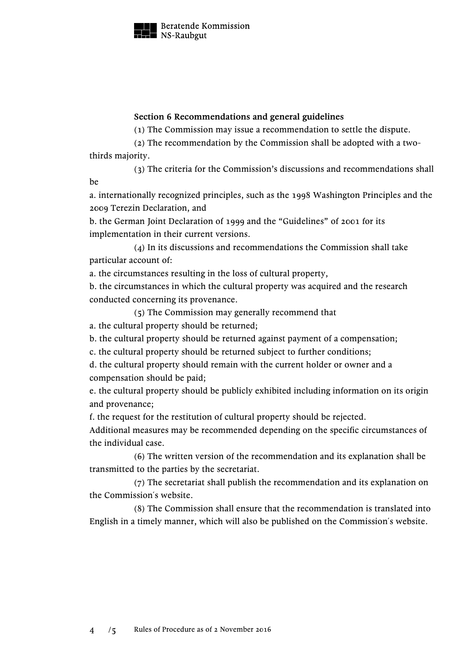

Beratende Kommission  $\blacksquare$  NS-Raubgut

### **Section 6 Recommendations and general guidelines**

(1) The Commission may issue a recommendation to settle the dispute.

(2) The recommendation by the Commission shall be adopted with a twothirds majority.

(3) The criteria for the Commission's discussions and recommendations shall be

a. internationally recognized principles, such as the 1998 Washington Principles and the 2009 Terezin Declaration, and

b. the German Joint Declaration of 1999 and the "Guidelines" of 2001 for its implementation in their current versions.

(4) In its discussions and recommendations the Commission shall take particular account of:

a. the circumstances resulting in the loss of cultural property,

b. the circumstances in which the cultural property was acquired and the research conducted concerning its provenance.

(5) The Commission may generally recommend that

a. the cultural property should be returned;

b. the cultural property should be returned against payment of a compensation;

c. the cultural property should be returned subject to further conditions;

d. the cultural property should remain with the current holder or owner and a compensation should be paid;

e. the cultural property should be publicly exhibited including information on its origin and provenance;

f. the request for the restitution of cultural property should be rejected.

Additional measures may be recommended depending on the specific circumstances of the individual case.

(6) The written version of the recommendation and its explanation shall be transmitted to the parties by the secretariat.

(7) The secretariat shall publish the recommendation and its explanation on the Commission´s website.

(8) The Commission shall ensure that the recommendation is translated into English in a timely manner, which will also be published on the Commission´s website.